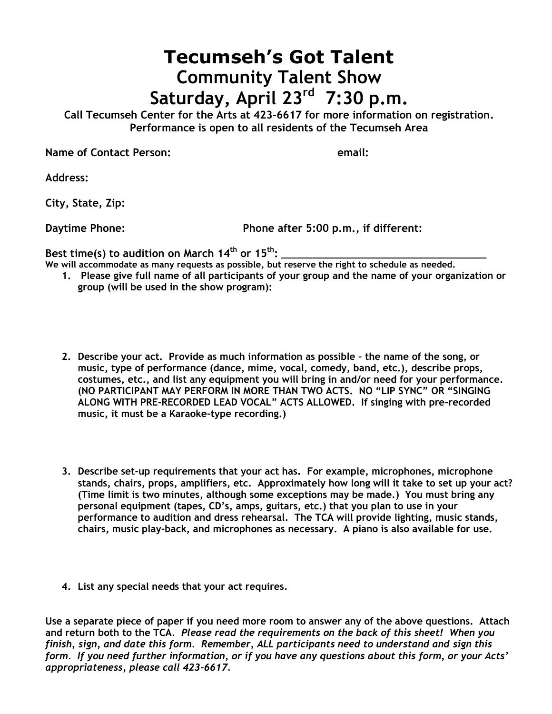## **Tecumseh's Got Talent Community Talent Show Saturday, April 23 rd 7:30 p.m.**

**Call Tecumseh Center for the Arts at 423-6617 for more information on registration. Performance is open to all residents of the Tecumseh Area**

**Name of Contact Person: email:**

**Address:**

**City, State, Zip:**

**Daytime Phone: Phone after 5:00 p.m., if different:**

Best time(s) to audition on March 14<sup>th</sup> or 15<sup>th</sup>:

- **We will accommodate as many requests as possible, but reserve the right to schedule as needed.**
	- **1. Please give full name of all participants of your group and the name of your organization or group (will be used in the show program):**
	- **2. Describe your act. Provide as much information as possible – the name of the song, or music, type of performance (dance, mime, vocal, comedy, band, etc.), describe props, costumes, etc., and list any equipment you will bring in and/or need for your performance. (NO PARTICIPANT MAY PERFORM IN MORE THAN TWO ACTS. NO "LIP SYNC" OR "SINGING ALONG WITH PRE-RECORDED LEAD VOCAL" ACTS ALLOWED. If singing with pre-recorded music, it must be a Karaoke-type recording.)**
	- **3. Describe set-up requirements that your act has. For example, microphones, microphone stands, chairs, props, amplifiers, etc. Approximately how long will it take to set up your act? (Time limit is two minutes, although some exceptions may be made.) You must bring any personal equipment (tapes, CD's, amps, guitars, etc.) that you plan to use in your performance to audition and dress rehearsal. The TCA will provide lighting, music stands, chairs, music play-back, and microphones as necessary. A piano is also available for use.**
	- **4. List any special needs that your act requires.**

**Use a separate piece of paper if you need more room to answer any of the above questions. Attach and return both to the TCA***. Please read the requirements on the back of this sheet! When you finish, sign, and date this form. Remember, ALL participants need to understand and sign this form. If you need further information, or if you have any questions about this form, or your Acts' appropriateness, please call 423-6617.*